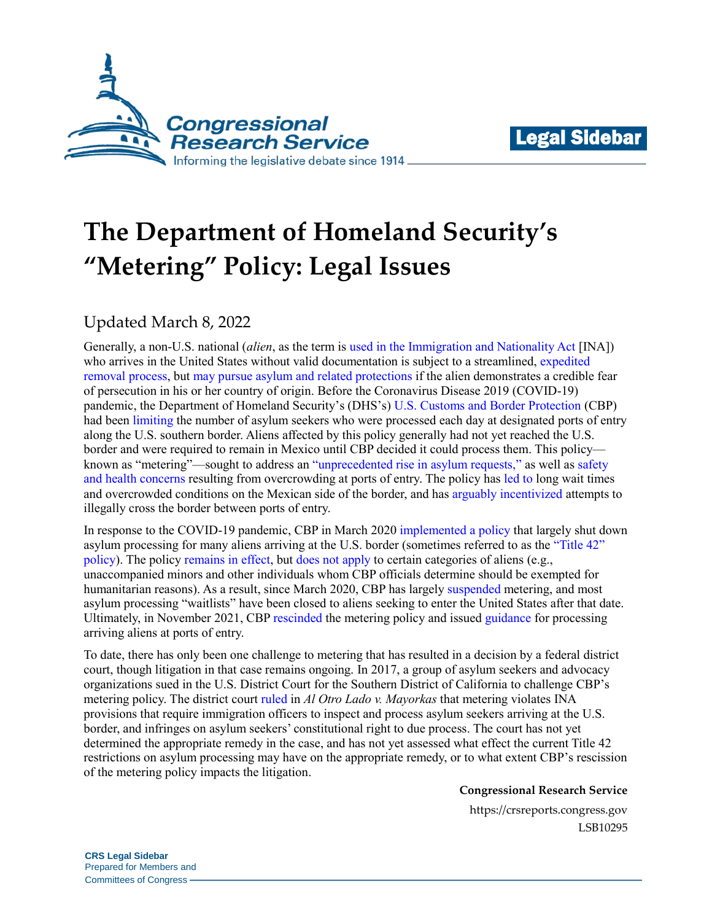



# **The Department of Homeland Security's "Metering" Policy: Legal Issues**

# Updated March 8, 2022

Generally, a non-U.S. national (*alien*, as the term is [used in the Immigration and Nationality Act](https://uscode.house.gov/view.xhtml?req=(title:8%20section:1101%20edition:prelim)) [INA]) who arrives in the United States without valid documentation is subject to a streamlined, [expedited](https://crsreports.congress.gov/product/pdf/IF/IF11357)  [removal process,](https://crsreports.congress.gov/product/pdf/IF/IF11357) but [may pursue asylum and related protections](https://crsreports.congress.gov/product/pdf/R/R45314#_Toc525635390) if the alien demonstrates a credible fear of persecution in his or her country of origin. Before the Coronavirus Disease 2019 (COVID-19) pandemic, the Department of Homeland Security's (DHS's) [U.S. Customs and Border Protection](https://www.cbp.gov/about) (CBP) had been [limiting](https://www.azcentral.com/story/news/politics/border-issues/2018/10/17/turnback-policy-working-hand-hand-their-mexican-counterparts-deter-migrants-seeking-asylum-united/1654204002/) the number of asylum seekers who were processed each day at designated ports of entry along the U.S. southern border. Aliens affected by this policy generally had not yet reached the U.S. border and were required to remain in Mexico until CBP decided it could process them. This policy known as "metering"—sought to address a[n "unprecedented rise in asylum requests,"](https://www.usatoday.com/story/news/nation/2019/02/04/migrant-border-smuggling-us-policy-metering/2708632002/) as well as [safety](https://www.oig.dhs.gov/sites/default/files/assets/2020-10/OIG-21-02-Oct20.pdf#page=8)  [and health concerns](https://www.oig.dhs.gov/sites/default/files/assets/2020-10/OIG-21-02-Oct20.pdf#page=8) resulting from overcrowding at ports of entry. The policy has [led to](https://www.voanews.com/a/lawsuit-challenges-us-border-turnbacks-metering/4685171.html) long wait times and overcrowded conditions on the Mexican side of the border, and has [arguably incentivized](https://www.usatoday.com/story/news/nation/2019/02/04/migrant-border-smuggling-us-policy-metering/2708632002/) attempts to illegally cross the border between ports of entry.

In response to the COVID-19 pandemic, CBP in March 2020 [implemented a policy](https://crsreports.congress.gov/product/pdf/R/R46755#_Toc69124899) that largely shut down asylum processing for many aliens arriving at the U.S. border (sometimes referred to as the ["Title 42"](https://crsreports.congress.gov/product/pdf/IN/IN11741)  [policy\)](https://crsreports.congress.gov/product/pdf/IN/IN11741). The policy [remains in effect,](https://www.govinfo.gov/content/pkg/FR-2021-08-05/pdf/2021-16856.pdf) but [does not apply](https://www.govinfo.gov/content/pkg/FR-2021-08-05/pdf/2021-16856.pdf#page=14) to certain categories of aliens (e.g., unaccompanied minors and other individuals whom CBP officials determine should be exempted for humanitarian reasons). As a result, since March 2020, CBP has largely [suspended](https://www.strausscenter.org/wp-content/uploads/August_2021_Metering.pdf#page=3) metering, and most asylum processing "waitlists" have been closed to aliens seeking to enter the United States after that date. Ultimately, in November 2021, CBP [rescinded](https://www.cbp.gov/sites/default/files/assets/documents/2021-Nov/CBP-mgmt-processing-non-citizens-swb-lpoes-signed-Memo-11.1.2021-508.pdf) the metering policy and issued [guidance](https://www.cbp.gov/sites/default/files/assets/documents/2021-Nov/CBP-mgmt-processing-non-citizens-swb-lpoes-signed-Memo-11.1.2021-508.pdf) for processing arriving aliens at ports of entry.

To date, there has only been one challenge to metering that has resulted in a decision by a federal district court, though litigation in that case remains ongoing. In 2017, a group of asylum seekers and advocacy organizations sued in the U.S. District Court for the Southern District of California to challenge CBP's metering policy. The district court [ruled](https://ccrjustice.org/sites/default/files/attach/2021/09/742%20Order%20granting%20in%20part%20Plaintiffs%20Motion%20for%20Summary%20Judgment%202021.08.02.pdf) in *Al Otro Lado v. Mayorkas* that metering violates INA provisions that require immigration officers to inspect and process asylum seekers arriving at the U.S. border, and infringes on asylum seekers' constitutional right to due process. The court has not yet determined the appropriate remedy in the case, and has not yet assessed what effect the current Title 42 restrictions on asylum processing may have on the appropriate remedy, or to what extent CBP's rescission of the metering policy impacts the litigation.

**Congressional Research Service**

https://crsreports.congress.gov LSB10295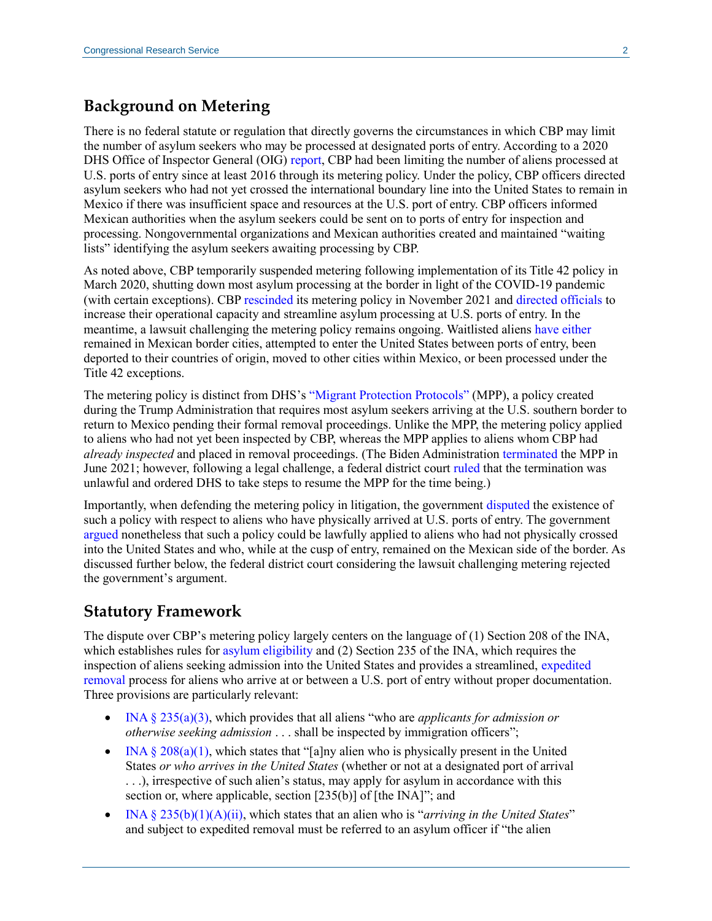# **Background on Metering**

There is no federal statute or regulation that directly governs the circumstances in which CBP may limit the number of asylum seekers who may be processed at designated ports of entry. According to a 2020 DHS Office of Inspector General (OIG) [report,](https://www.oig.dhs.gov/sites/default/files/assets/2020-10/OIG-21-02-Oct20.pdf#page=8) CBP had been limiting the number of aliens processed at U.S. ports of entry since at least 2016 through its metering policy. Under the policy, CBP officers directed asylum seekers who had not yet crossed the international boundary line into the United States to remain in Mexico if there was insufficient space and resources at the U.S. port of entry. CBP officers informed Mexican authorities when the asylum seekers could be sent on to ports of entry for inspection and processing. Nongovernmental organizations and Mexican authorities created and maintained "waiting lists" identifying the asylum seekers awaiting processing by CBP.

As noted above, CBP temporarily suspended metering following implementation of its Title 42 policy in March 2020, shutting down most asylum processing at the border in light of the COVID-19 pandemic (with certain exceptions). CBP [rescinded](https://www.cbp.gov/sites/default/files/assets/documents/2021-Nov/CBP-mgmt-processing-non-citizens-swb-lpoes-signed-Memo-11.1.2021-508.pdf) its metering policy in November 2021 and [directed officials](https://www.cbp.gov/sites/default/files/assets/documents/2021-Nov/CBP-mgmt-processing-non-citizens-swb-lpoes-signed-Memo-11.1.2021-508.pdf) to increase their operational capacity and streamline asylum processing at U.S. ports of entry. In the meantime, a lawsuit challenging the metering policy remains ongoing. Waitlisted aliens [have either](https://www.strausscenter.org/wp-content/uploads/August_2021_Metering.pdf#page=3) remained in Mexican border cities, attempted to enter the United States between ports of entry, been deported to their countries of origin, moved to other cities within Mexico, or been processed under the Title 42 exceptions.

The metering policy is distinct from DHS's ["Migrant Protection Protocols"](https://crsreports.congress.gov/product/pdf/LSB/LSB10251) (MPP), a policy created during the Trump Administration that requires most asylum seekers arriving at the U.S. southern border to return to Mexico pending their formal removal proceedings. Unlike the MPP, the metering policy applied to aliens who had not yet been inspected by CBP, whereas the MPP applies to aliens whom CBP had *already inspected* and placed in removal proceedings. (The Biden Administration [terminated](https://www.dhs.gov/sites/default/files/publications/21_0601_termination_of_mpp_program.pdf) the MPP in June 2021; however, following a legal challenge, a federal district court [ruled](https://ago.mo.gov/docs/default-source/press-releases/mpp.pdf?sfvrsn=f2722fb5_2) that the termination was unlawful and ordered DHS to take steps to resume the MPP for the time being.)

Importantly, when defending the metering policy in litigation, the government [disputed](https://ccrjustice.org/sites/default/files/attach/2018/08/135-main-w-attachment.pdf#page=22) the existence of such a policy with respect to aliens who have physically arrived at U.S. ports of entry. The government [argued](https://ccrjustice.org/sites/default/files/attach/2018/12/Gov%27t%20Memo%20ISO%202d%20MTD.pdf#page=15) nonetheless that such a policy could be lawfully applied to aliens who had not physically crossed into the United States and who, while at the cusp of entry, remained on the Mexican side of the border. As discussed further below, the federal district court considering the lawsuit challenging metering rejected the government's argument.

### **Statutory Framework**

The dispute over CBP's metering policy largely centers on the language of (1) Section 208 of the INA, which establishes rules for [asylum eligibility](https://crsreports.congress.gov/product/pdf/R/R45539) and (2) Section 235 of the INA, which requires the inspection of aliens seeking admission into the United States and provides a streamlined, [expedited](https://crsreports.congress.gov/product/pdf/IF/IF11357)  [removal](https://crsreports.congress.gov/product/pdf/IF/IF11357) process for aliens who arrive at or between a U.S. port of entry without proper documentation. Three provisions are particularly relevant:

- [INA § 235\(a\)\(3\),](https://uscode.house.gov/view.xhtml?req=granuleid:USC-prelim-title8-section1225&num=0&edition=prelim) which provides that all aliens "who are *applicants for admission or otherwise seeking admission* . . . shall be inspected by immigration officers";
- INA  $\S 208(a)(1)$ , which states that "[a]ny alien who is physically present in the United States *or who arrives in the United States* (whether or not at a designated port of arrival . . .), irrespective of such alien's status, may apply for asylum in accordance with this section or, where applicable, section [235(b)] of [the INA]"; and
- [INA § 235\(b\)\(1\)\(A\)\(ii\),](https://uscode.house.gov/view.xhtml?req=granuleid:USC-prelim-title8-section1225&num=0&edition=prelim) which states that an alien who is "*arriving in the United States*" and subject to expedited removal must be referred to an asylum officer if "the alien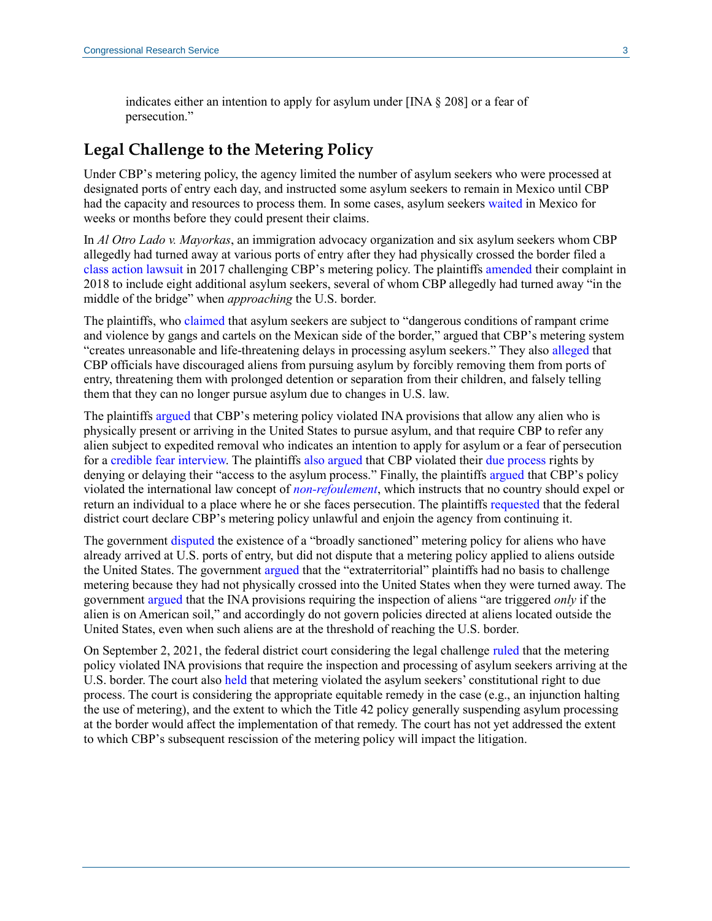indicates either an intention to apply for asylum under [INA § 208] or a fear of persecution."

# **Legal Challenge to the Metering Policy**

Under CBP's metering policy, the agency limited the number of asylum seekers who were processed at designated ports of entry each day, and instructed some asylum seekers to remain in Mexico until CBP had the capacity and resources to process them. In some cases, asylum seekers [waited](https://www.migrationpolicy.org/article/trump-administrations-unprecedented-actions-asylum-southern-border-hit-legal-roadblock) in Mexico for weeks or months before they could present their claims.

In *Al Otro Lado v. Mayorkas*, an immigration advocacy organization and six asylum seekers whom CBP allegedly had turned away at various ports of entry after they had physically crossed the border filed a [class action](https://crsreports.congress.gov/product/pdf/R/R45159) [lawsuit](https://ccrjustice.org/sites/default/files/attach/2017/07/AOL%20Complaint%207.12.2017.pdf) in 2017 challenging CBP's metering policy. The plaintiffs [amended](https://ccrjustice.org/sites/default/files/attach/2018/10/AmendedComplaint.pdf) their complaint in 2018 to include eight additional asylum seekers, several of whom CBP allegedly had turned away "in the middle of the bridge" when *approaching* the U.S. border.

The plaintiffs, who [claimed](https://ccrjustice.org/sites/default/files/attach/2018/10/AmendedComplaint.pdf#page=6) that asylum seekers are subject to "dangerous conditions of rampant crime and violence by gangs and cartels on the Mexican side of the border," argued that CBP's metering system "creates unreasonable and life-threatening delays in processing asylum seekers." They also [alleged](https://ccrjustice.org/sites/default/files/attach/2018/10/AmendedComplaint.pdf#page=4) that CBP officials have discouraged aliens from pursuing asylum by forcibly removing them from ports of entry, threatening them with prolonged detention or separation from their children, and falsely telling them that they can no longer pursue asylum due to changes in U.S. law.

The plaintiffs [argued](https://ccrjustice.org/sites/default/files/attach/2018/10/AmendedComplaint.pdf#page=91) that CBP's metering policy violated INA provisions that allow any alien who is physically present or arriving in the United States to pursue asylum, and that require CBP to refer any alien subject to expedited removal who indicates an intention to apply for asylum or a fear of persecution for a [credible fear interview.](https://crsreports.congress.gov/product/pdf/R/R45314#_Toc525635390) The plaintiffs [also argued](https://ccrjustice.org/sites/default/files/attach/2018/10/AmendedComplaint.pdf#page=99) that CBP violated their [due process](https://constitution.congress.gov/browse/essay/amdt5-4-1/ALDE_00000874/) rights by denying or delaying their "access to the asylum process." Finally, the plaintiffs [argued](https://ccrjustice.org/sites/default/files/attach/2018/10/AmendedComplaint.pdf#page=101) that CBP's policy violated the international law concept of *[non-refoulement](https://www.unhcr.org/en-us/3b66c2aa10.pdf#zoom=95)*, which instructs that no country should expel or return an individual to a place where he or she faces persecution. The plaintiffs [requested](https://ccrjustice.org/sites/default/files/attach/2018/10/AmendedComplaint.pdf#page=102) that the federal district court declare CBP's metering policy unlawful and enjoin the agency from continuing it.

The government [disputed](https://ccrjustice.org/sites/default/files/attach/2018/08/135-main-w-attachment.pdf#page=23) the existence of a "broadly sanctioned" metering policy for aliens who have already arrived at U.S. ports of entry, but did not dispute that a metering policy applied to aliens outside the United States. The government [argued](https://ccrjustice.org/sites/default/files/attach/2018/12/Gov%27t%20Memo%20ISO%202d%20MTD.pdf#page=15) that the "extraterritorial" plaintiffs had no basis to challenge metering because they had not physically crossed into the United States when they were turned away. The government [argued](https://ccrjustice.org/sites/default/files/attach/2018/12/Gov%27t%20Memo%20ISO%202d%20MTD.pdf#page=17) that the INA provisions requiring the inspection of aliens "are triggered *only* if the alien is on American soil," and accordingly do not govern policies directed at aliens located outside the United States, even when such aliens are at the threshold of reaching the U.S. border.

On September 2, 2021, the federal district court considering the legal challenge [ruled](https://ccrjustice.org/sites/default/files/attach/2021/09/742%20Order%20granting%20in%20part%20Plaintiffs%20Motion%20for%20Summary%20Judgment%202021.08.02.pdf#page=19) that the metering policy violated INA provisions that require the inspection and processing of asylum seekers arriving at the U.S. border. The court also [held](https://ccrjustice.org/sites/default/files/attach/2021/09/742%20Order%20granting%20in%20part%20Plaintiffs%20Motion%20for%20Summary%20Judgment%202021.08.02.pdf#page=34) that metering violated the asylum seekers' constitutional right to due process. The court is considering the appropriate equitable remedy in the case (e.g., an injunction halting the use of metering), and the extent to which the Title 42 policy generally suspending asylum processing at the border would affect the implementation of that remedy. The court has not yet addressed the extent to which CBP's subsequent rescission of the metering policy will impact the litigation.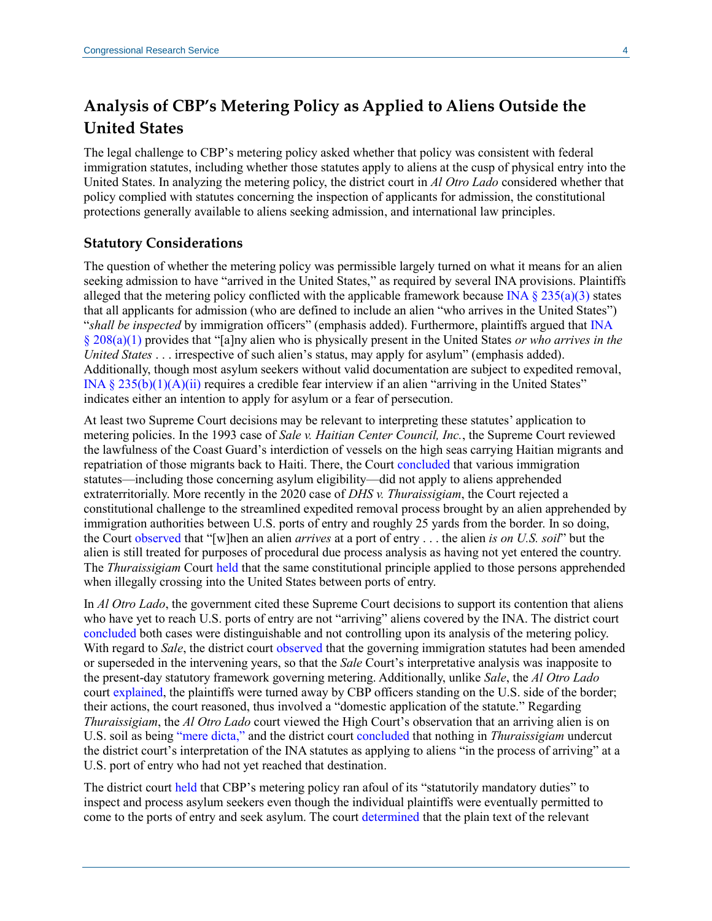# **Analysis of CBP's Metering Policy as Applied to Aliens Outside the United States**

The legal challenge to CBP's metering policy asked whether that policy was consistent with federal immigration statutes, including whether those statutes apply to aliens at the cusp of physical entry into the United States. In analyzing the metering policy, the district court in *Al Otro Lado* considered whether that policy complied with statutes concerning the inspection of applicants for admission, the constitutional protections generally available to aliens seeking admission, and international law principles.

#### **Statutory Considerations**

The question of whether the metering policy was permissible largely turned on what it means for an alien seeking admission to have "arrived in the United States," as required by several INA provisions. Plaintiffs alleged that the metering policy conflicted with the applicable framework because INA  $\S$  235(a)(3) states that all applicants for admission (who are defined to include an alien "who arrives in the United States") "*shall be inspected* by immigration officers" (emphasis added). Furthermore, plaintiffs argued that [INA](https://uscode.house.gov/view.xhtml?req=granuleid:USC-prelim-title8-section1158&num=0&edition=prelim)  § [208\(a\)\(1\)](https://uscode.house.gov/view.xhtml?req=granuleid:USC-prelim-title8-section1158&num=0&edition=prelim) provides that "[a]ny alien who is physically present in the United States *or who arrives in the United States* . . . irrespective of such alien's status, may apply for asylum" (emphasis added). Additionally, though most asylum seekers without valid documentation are subject to expedited removal, INA §  $235(b)(1)(A)(ii)$  requires a credible fear interview if an alien "arriving in the United States" indicates either an intention to apply for asylum or a fear of persecution.

At least two Supreme Court decisions may be relevant to interpreting these statutes' application to metering policies. In the 1993 case of *[Sale v. Haitian Center Council, Inc.](https://tile.loc.gov/storage-services/service/ll/usrep/usrep509/usrep509155/usrep509155.pdf)*, the Supreme Court reviewed the lawfulness of the Coast Guard's interdiction of vessels on the high seas carrying Haitian migrants and repatriation of those migrants back to Haiti. There, the Court [concluded](https://tile.loc.gov/storage-services/service/ll/usrep/usrep509/usrep509155/usrep509155.pdf#page=23) that various immigration statutes—including those concerning asylum eligibility—did not apply to aliens apprehended extraterritorially. More recently in the 2020 case of *[DHS v. Thuraissigiam](https://www.supremecourt.gov/opinions/19pdf/19-161_g314.pdf)*, the Court rejected a constitutional challenge to the streamlined expedited removal process brought by an alien apprehended by immigration authorities between U.S. ports of entry and roughly 25 yards from the border. In so doing, the Court [observed](https://www.supremecourt.gov/opinions/19pdf/19-161_g314.pdf#page=38) that "[w]hen an alien *arrives* at a port of entry . . . the alien *is on U.S. soil*" but the alien is still treated for purposes of procedural due process analysis as having not yet entered the country. The *Thuraissigiam* Court [held](https://www.supremecourt.gov/opinions/19pdf/19-161_g314.pdf#page=38) that the same constitutional principle applied to those persons apprehended when illegally crossing into the United States between ports of entry.

In *Al Otro Lado*, the government cited these Supreme Court decisions to support its contention that aliens who have yet to reach U.S. ports of entry are not "arriving" aliens covered by the INA. The district court [concluded](https://ccrjustice.org/sites/default/files/attach/2021/09/742%20Order%20granting%20in%20part%20Plaintiffs%20Motion%20for%20Summary%20Judgment%202021.08.02.pdf#page=22) both cases were distinguishable and not controlling upon its analysis of the metering policy. With regard to *Sale*, the district court [observed](https://ccrjustice.org/sites/default/files/attach/2021/09/742%20Order%20granting%20in%20part%20Plaintiffs%20Motion%20for%20Summary%20Judgment%202021.08.02.pdf#page=22) that the governing immigration statutes had been amended or superseded in the intervening years, so that the *Sale* Court's interpretative analysis was inapposite to the present-day statutory framework governing metering. Additionally, unlike *Sale*, the *Al Otro Lado* court [explained,](https://ccrjustice.org/sites/default/files/attach/2021/09/742%20Order%20granting%20in%20part%20Plaintiffs%20Motion%20for%20Summary%20Judgment%202021.08.02.pdf#page=24) the plaintiffs were turned away by CBP officers standing on the U.S. side of the border; their actions, the court reasoned, thus involved a "domestic application of the statute." Regarding *Thuraissigiam*, the *Al Otro Lado* court viewed the High Court's observation that an arriving alien is on U.S. soil as being ["mere dicta,"](https://ccrjustice.org/sites/default/files/attach/2021/09/742%20Order%20granting%20in%20part%20Plaintiffs%20Motion%20for%20Summary%20Judgment%202021.08.02.pdf#page=24) and the district court [concluded](https://ccrjustice.org/sites/default/files/attach/2021/09/742%20Order%20granting%20in%20part%20Plaintiffs%20Motion%20for%20Summary%20Judgment%202021.08.02.pdf#page=25) that nothing in *Thuraissigiam* undercut the district court's interpretation of the INA statutes as applying to aliens "in the process of arriving" at a U.S. port of entry who had not yet reached that destination.

The district court [held](https://ccrjustice.org/sites/default/files/attach/2021/09/742%20Order%20granting%20in%20part%20Plaintiffs%20Motion%20for%20Summary%20Judgment%202021.08.02.pdf#page=26) that CBP's metering policy ran afoul of its "statutorily mandatory duties" to inspect and process asylum seekers even though the individual plaintiffs were eventually permitted to come to the ports of entry and seek asylum. The court [determined](https://ccrjustice.org/sites/default/files/attach/2021/09/742%20Order%20granting%20in%20part%20Plaintiffs%20Motion%20for%20Summary%20Judgment%202021.08.02.pdf#page=29) that the plain text of the relevant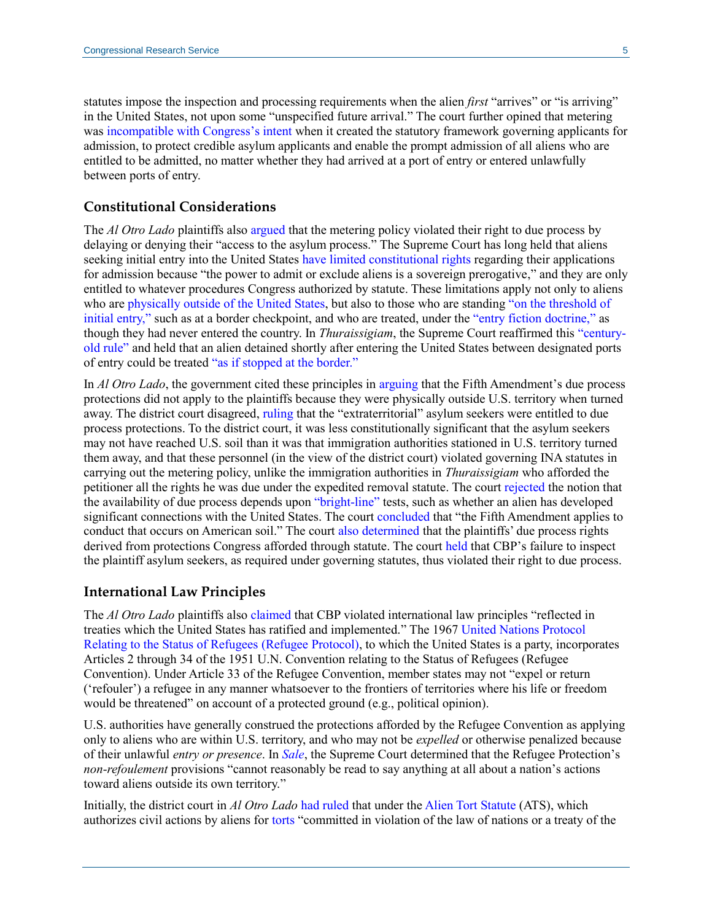statutes impose the inspection and processing requirements when the alien *first* "arrives" or "is arriving" in the United States, not upon some "unspecified future arrival." The court further opined that metering was incompatible [with Congress's intent](https://ccrjustice.org/sites/default/files/attach/2021/09/742%20Order%20granting%20in%20part%20Plaintiffs%20Motion%20for%20Summary%20Judgment%202021.08.02.pdf#page=30) when it created the statutory framework governing applicants for admission, to protect credible asylum applicants and enable the prompt admission of all aliens who are entitled to be admitted, no matter whether they had arrived at a port of entry or entered unlawfully between ports of entry.

#### **Constitutional Considerations**

The *Al Otro Lado* plaintiffs als[o argued](https://ccrjustice.org/sites/default/files/attach/2018/10/AmendedComplaint.pdf#page=99) that the metering policy violated their right to due process by delaying or denying their "access to the asylum process." The Supreme Court has long held that aliens seeking initial entry into the United States [have limited constitutional rights](https://crsreports.congress.gov/product/pdf/R/R45314#_Toc525635381) regarding their applications for admission because "the power to admit or exclude aliens is a sovereign prerogative," and they are only entitled to whatever procedures Congress authorized by statute. These limitations apply not only to aliens who are [physically outside](https://supreme.justia.com/cases/federal/us/339/763/) [of the United States,](https://supreme.justia.com/cases/federal/us/494/259/) but also to those who are standing ["on the threshold of](https://supreme.justia.com/cases/federal/us/345/206/)  [initial entry,"](https://supreme.justia.com/cases/federal/us/345/206/) such as at a border checkpoint, and who are treated, under the ["entry fiction doctrine,"](https://crsreports.congress.gov/product/pdf/R/R45314#_Toc525635381) as though they had never entered the country. In *Thuraissigiam*, the Supreme Court reaffirmed this ["century](https://www.supremecourt.gov/opinions/19pdf/19-161_g314.pdf#page=38)[old rule"](https://www.supremecourt.gov/opinions/19pdf/19-161_g314.pdf#page=38) and held that an alien detained shortly after entering the United States between designated ports of entry could be treated ["as if stopped at the border."](https://www.supremecourt.gov/opinions/19pdf/19-161_g314.pdf#page=38)

In *Al Otro Lado*, the government cited these principles in [arguing](https://ccrjustice.org/sites/default/files/attach/2021/09/742%20Order%20granting%20in%20part%20Plaintiffs%20Motion%20for%20Summary%20Judgment%202021.08.02.pdf#page=34) that the Fifth Amendment's due process protections did not apply to the plaintiffs because they were physically outside U.S. territory when turned away. The district court disagreed, [ruling](https://ccrjustice.org/sites/default/files/attach/2021/09/742%20Order%20granting%20in%20part%20Plaintiffs%20Motion%20for%20Summary%20Judgment%202021.08.02.pdf#page=34) that the "extraterritorial" asylum seekers were entitled to due process protections. To the district court, it was less constitutionally significant that the asylum seekers may not have reached U.S. soil than it was that immigration authorities stationed in U.S. territory turned them away, and that these personnel (in the view of the district court) violated governing INA statutes in carrying out the metering policy, unlike the immigration authorities in *Thuraissigiam* who afforded the petitioner all the rights he was due under the expedited removal statute. The court [rejected](https://ccrjustice.org/sites/default/files/attach/2021/09/742%20Order%20granting%20in%20part%20Plaintiffs%20Motion%20for%20Summary%20Judgment%202021.08.02.pdf#page=35) the notion that the availability of due process depends upon ["bright-line"](https://ccrjustice.org/sites/default/files/attach/2021/09/742%20Order%20granting%20in%20part%20Plaintiffs%20Motion%20for%20Summary%20Judgment%202021.08.02.pdf#page=35) tests, such as whether an alien has developed significant connections with the United States. The court [concluded](https://ccrjustice.org/sites/default/files/attach/2021/09/742%20Order%20granting%20in%20part%20Plaintiffs%20Motion%20for%20Summary%20Judgment%202021.08.02.pdf#page=37) that "the Fifth Amendment applies to conduct that occurs on American soil." The court [also determined](https://ccrjustice.org/sites/default/files/attach/2021/09/742%20Order%20granting%20in%20part%20Plaintiffs%20Motion%20for%20Summary%20Judgment%202021.08.02.pdf#page=37) that the plaintiffs' due process rights derived from protections Congress afforded through statute. The court [held](https://ccrjustice.org/sites/default/files/attach/2021/09/742%20Order%20granting%20in%20part%20Plaintiffs%20Motion%20for%20Summary%20Judgment%202021.08.02.pdf#page=37) that CBP's failure to inspect the plaintiff asylum seekers, as required under governing statutes, thus violated their right to due process.

#### **International Law Principles**

The *Al Otro Lado* plaintiffs also [claimed](https://ccrjustice.org/sites/default/files/attach/2018/10/AmendedComplaint.pdf#page=101) that CBP violated international law principles "reflected in treaties which the United States has ratified and implemented." The 1967 [United Nations Protocol](http://www.unhcr.org/en-us/protection/basic/3b66c2aa10/convention-protocol-relating-status-refugees.html)  [Relating to the Status of Refugees](http://www.unhcr.org/en-us/protection/basic/3b66c2aa10/convention-protocol-relating-status-refugees.html) (Refugee Protocol), to which the United States is a party, incorporates Articles 2 through 34 of the 1951 U.N. Convention relating to the Status of Refugees (Refugee Convention). Under Article 33 of the Refugee Convention, member states may not "expel or return ('refouler') a refugee in any manner whatsoever to the frontiers of territories where his life or freedom would be threatened" on account of a protected ground (e.g., political opinion).

U.S. authorities have generally construed the protections afforded by the Refugee Convention as applying only to aliens who are within U.S. territory, and who may not be *expelled* or otherwise penalized because of their unlawful *entry or presence*. In *[Sale](https://tile.loc.gov/storage-services/service/ll/usrep/usrep509/usrep509155/usrep509155.pdf#page=29)*, the Supreme Court determined that the Refugee Protection's *non-refoulement* provisions "cannot reasonably be read to say anything at all about a nation's actions toward aliens outside its own territory."

Initially, the district court in *Al Otro Lado* [had ruled](https://ccrjustice.org/sites/default/files/attach/2019/07/Order%20granting%20in%20part%20and%20denying%20in%20part%20MTD%207.29.19%20_1.pdf#page=79) that under th[e Alien Tort Statute](https://uscode.house.gov/view.xhtml?req=granuleid:USC-prelim-title28-section1350&num=0&edition=prelim) (ATS), which authorizes civil actions by aliens for [torts](https://crsreports.congress.gov/product/pdf/IF/IF11291) "committed in violation of the law of nations or a treaty of the